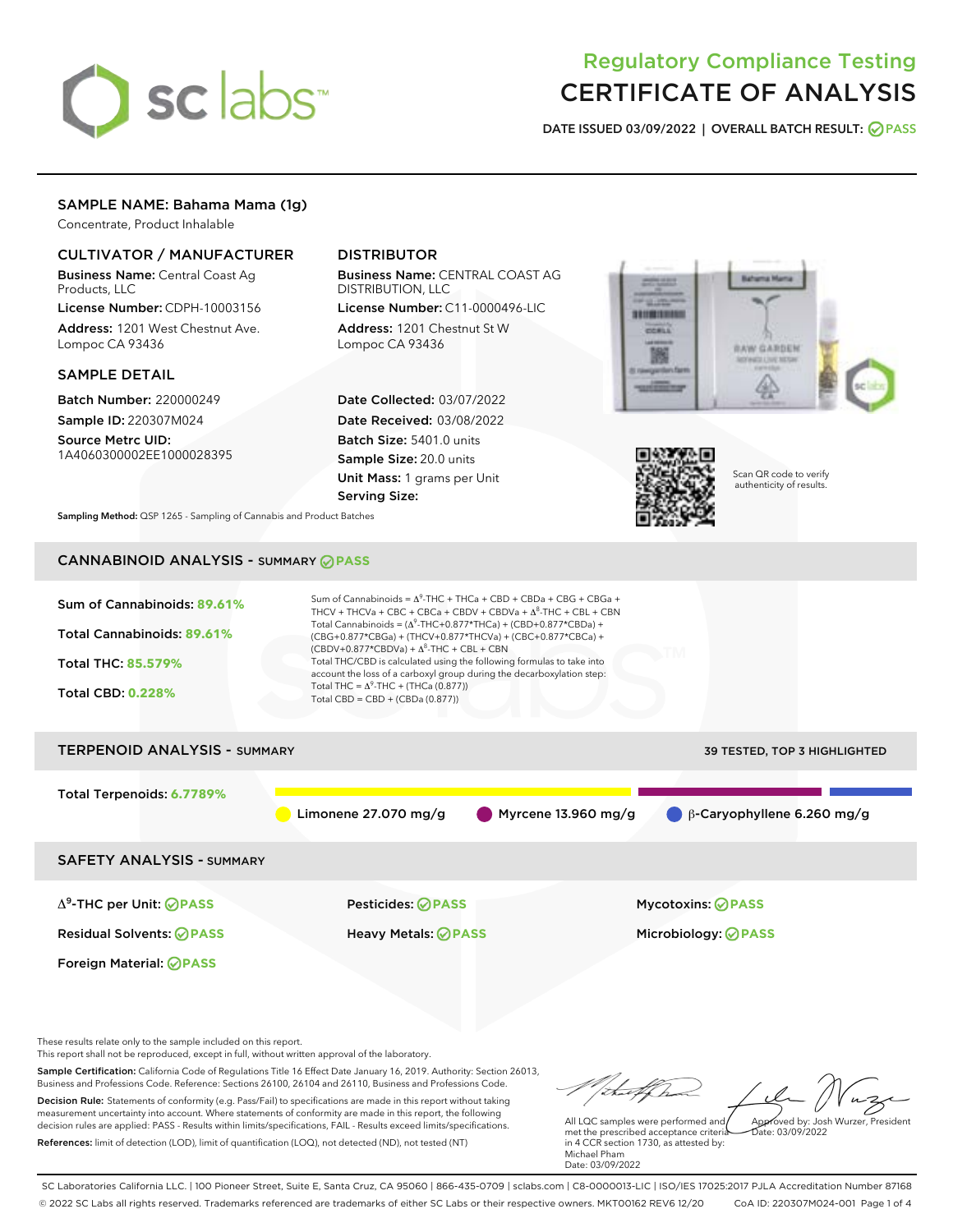# sclabs<sup>\*</sup>

## Regulatory Compliance Testing CERTIFICATE OF ANALYSIS

DATE ISSUED 03/09/2022 | OVERALL BATCH RESULT: @ PASS

#### SAMPLE NAME: Bahama Mama (1g)

Concentrate, Product Inhalable

#### CULTIVATOR / MANUFACTURER

Business Name: Central Coast Ag Products, LLC

License Number: CDPH-10003156 Address: 1201 West Chestnut Ave. Lompoc CA 93436

#### SAMPLE DETAIL

Batch Number: 220000249 Sample ID: 220307M024

Source Metrc UID: 1A4060300002EE1000028395

#### DISTRIBUTOR

Business Name: CENTRAL COAST AG DISTRIBUTION, LLC

License Number: C11-0000496-LIC Address: 1201 Chestnut St W Lompoc CA 93436

Date Collected: 03/07/2022 Date Received: 03/08/2022 Batch Size: 5401.0 units Sample Size: 20.0 units Unit Mass: 1 grams per Unit Serving Size:





Scan QR code to verify authenticity of results.

Sampling Method: QSP 1265 - Sampling of Cannabis and Product Batches

### CANNABINOID ANALYSIS - SUMMARY **PASS**



measurement uncertainty into account. Where statements of conformity are made in this report, the following decision rules are applied: PASS - Results within limits/specifications, FAIL - Results exceed limits/specifications. References: limit of detection (LOD), limit of quantification (LOQ), not detected (ND), not tested (NT)

All LQC samples were performed and met the prescribed acceptance criteria in 4 CCR section 1730, as attested by: Michael Pham Date: 03/09/2022 Approved by: Josh Wurzer, President  $\frac{1}{2}$ ate: 03/09/2022

SC Laboratories California LLC. | 100 Pioneer Street, Suite E, Santa Cruz, CA 95060 | 866-435-0709 | sclabs.com | C8-0000013-LIC | ISO/IES 17025:2017 PJLA Accreditation Number 87168 © 2022 SC Labs all rights reserved. Trademarks referenced are trademarks of either SC Labs or their respective owners. MKT00162 REV6 12/20 CoA ID: 220307M024-001 Page 1 of 4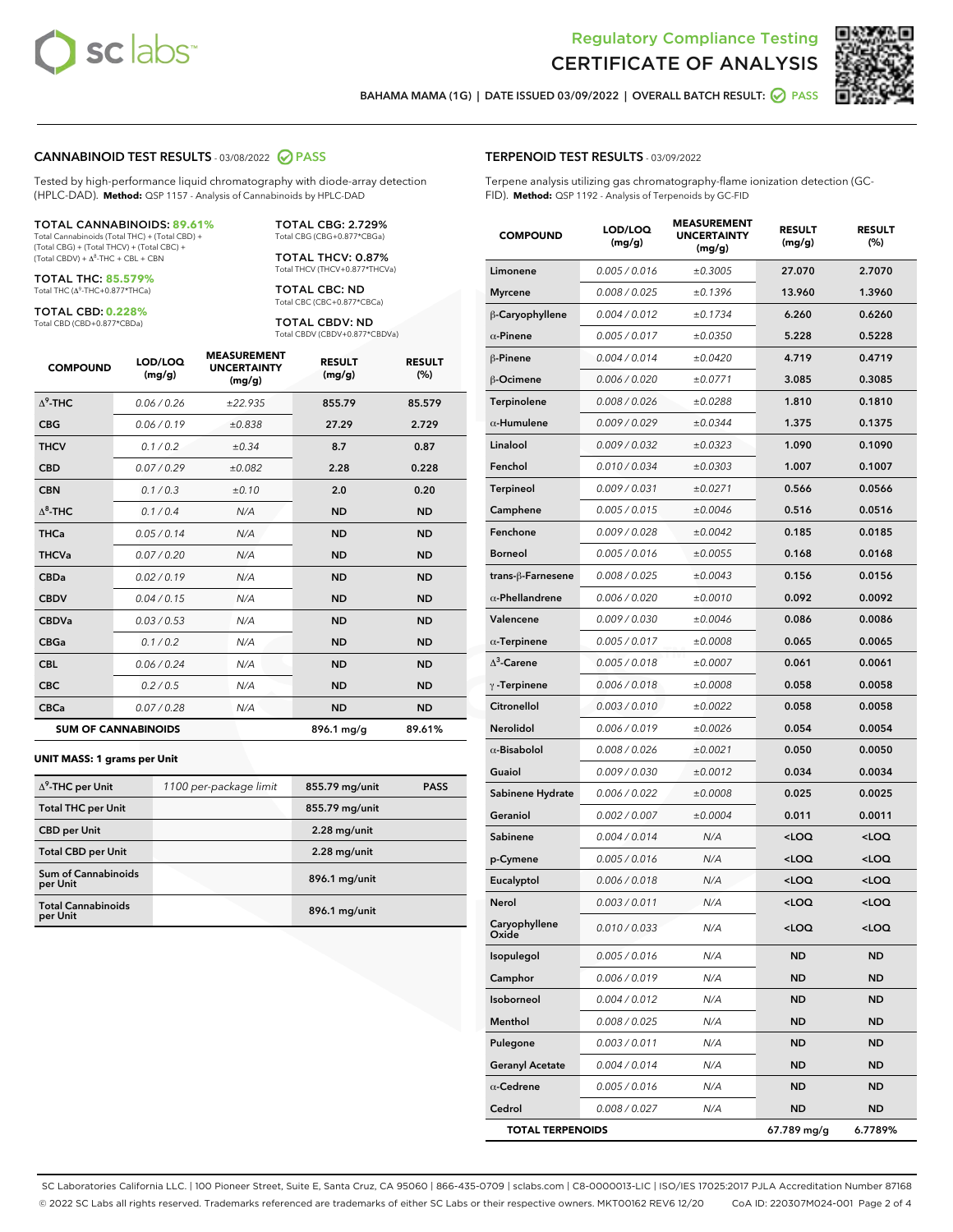



BAHAMA MAMA (1G) | DATE ISSUED 03/09/2022 | OVERALL BATCH RESULT:  $\bigcirc$  PASS

#### CANNABINOID TEST RESULTS - 03/08/2022 2 PASS

Tested by high-performance liquid chromatography with diode-array detection (HPLC-DAD). **Method:** QSP 1157 - Analysis of Cannabinoids by HPLC-DAD

#### TOTAL CANNABINOIDS: **89.61%** Total Cannabinoids (Total THC) + (Total CBD) +

(Total CBG) + (Total THCV) + (Total CBC) +  $(Total CBDV) +  $\Delta^8$ -THC + CBL + CBN$ 

TOTAL THC: **85.579%** Total THC (Δ<sup>9</sup> -THC+0.877\*THCa)

TOTAL CBD: **0.228%**

Total CBD (CBD+0.877\*CBDa)

TOTAL CBG: 2.729% Total CBG (CBG+0.877\*CBGa)

TOTAL THCV: 0.87% Total THCV (THCV+0.877\*THCVa)

TOTAL CBC: ND Total CBC (CBC+0.877\*CBCa)

TOTAL CBDV: ND Total CBDV (CBDV+0.877\*CBDVa)

| <b>COMPOUND</b> | LOD/LOO<br>(mg/g)          | <b>MEASUREMENT</b><br><b>UNCERTAINTY</b><br>(mg/g) | <b>RESULT</b><br>(mg/g) | <b>RESULT</b><br>(%) |
|-----------------|----------------------------|----------------------------------------------------|-------------------------|----------------------|
| $\Delta^9$ -THC | 0.06/0.26                  | ±22.935                                            | 855.79                  | 85.579               |
| <b>CBG</b>      | 0.06/0.19                  | ±0.838                                             | 27.29                   | 2.729                |
| <b>THCV</b>     | 0.1/0.2                    | $\pm 0.34$                                         | 8.7                     | 0.87                 |
| <b>CBD</b>      | 0.07/0.29                  | ±0.082                                             | 2.28                    | 0.228                |
| <b>CBN</b>      | 0.1 / 0.3                  | ±0.10                                              | 2.0                     | 0.20                 |
| $\Delta^8$ -THC | 0.1 / 0.4                  | N/A                                                | <b>ND</b>               | <b>ND</b>            |
| <b>THCa</b>     | 0.05/0.14                  | N/A                                                | <b>ND</b>               | <b>ND</b>            |
| <b>THCVa</b>    | 0.07 / 0.20                | N/A                                                | <b>ND</b>               | <b>ND</b>            |
| <b>CBDa</b>     | 0.02/0.19                  | N/A                                                | <b>ND</b>               | <b>ND</b>            |
| <b>CBDV</b>     | 0.04/0.15                  | N/A                                                | <b>ND</b>               | <b>ND</b>            |
| <b>CBDVa</b>    | 0.03/0.53                  | N/A                                                | <b>ND</b>               | <b>ND</b>            |
| <b>CBGa</b>     | 0.1/0.2                    | N/A                                                | <b>ND</b>               | <b>ND</b>            |
| <b>CBL</b>      | 0.06 / 0.24                | N/A                                                | <b>ND</b>               | <b>ND</b>            |
| <b>CBC</b>      | 0.2 / 0.5                  | N/A                                                | <b>ND</b>               | <b>ND</b>            |
| <b>CBCa</b>     | 0.07/0.28                  | N/A                                                | <b>ND</b>               | <b>ND</b>            |
|                 | <b>SUM OF CANNABINOIDS</b> |                                                    | 896.1 mg/g              | 89.61%               |

#### **UNIT MASS: 1 grams per Unit**

| $\Delta^9$ -THC per Unit              | 1100 per-package limit | 855.79 mg/unit | <b>PASS</b> |
|---------------------------------------|------------------------|----------------|-------------|
| <b>Total THC per Unit</b>             |                        | 855.79 mg/unit |             |
| <b>CBD per Unit</b>                   |                        | $2.28$ mg/unit |             |
| <b>Total CBD per Unit</b>             |                        | 2.28 mg/unit   |             |
| Sum of Cannabinoids<br>per Unit       |                        | 896.1 mg/unit  |             |
| <b>Total Cannabinoids</b><br>per Unit |                        | 896.1 mg/unit  |             |

| <b>COMPOUND</b>         | LOD/LOQ<br>(mg/g) | <b>UNCERTAINTY</b><br>(mg/g) | <b>RESULT</b><br>(mg/g)                         | <b>RESULT</b><br>(%) |
|-------------------------|-------------------|------------------------------|-------------------------------------------------|----------------------|
| Limonene                | 0.005 / 0.016     | ±0.3005                      | 27.070                                          | 2.7070               |
| <b>Myrcene</b>          | 0.008 / 0.025     | ±0.1396                      | 13.960                                          | 1.3960               |
| β-Caryophyllene         | 0.004 / 0.012     | ±0.1734                      | 6.260                                           | 0.6260               |
| $\alpha$ -Pinene        | 0.005 / 0.017     | ±0.0350                      | 5.228                                           | 0.5228               |
| $\beta$ -Pinene         | 0.004 / 0.014     | ±0.0420                      | 4.719                                           | 0.4719               |
| $\beta$ -Ocimene        | 0.006 / 0.020     | ±0.0771                      | 3.085                                           | 0.3085               |
| Terpinolene             | 0.008 / 0.026     | ±0.0288                      | 1.810                                           | 0.1810               |
| $\alpha$ -Humulene      | 0.009 / 0.029     | ±0.0344                      | 1.375                                           | 0.1375               |
| Linalool                | 0.009 / 0.032     | ±0.0323                      | 1.090                                           | 0.1090               |
| Fenchol                 | 0.010 / 0.034     | ±0.0303                      | 1.007                                           | 0.1007               |
| <b>Terpineol</b>        | 0.009 / 0.031     | ±0.0271                      | 0.566                                           | 0.0566               |
| Camphene                | 0.005 / 0.015     | ±0.0046                      | 0.516                                           | 0.0516               |
| Fenchone                | 0.009 / 0.028     | ±0.0042                      | 0.185                                           | 0.0185               |
| <b>Borneol</b>          | 0.005 / 0.016     | ±0.0055                      | 0.168                                           | 0.0168               |
| trans-ß-Farnesene       | 0.008 / 0.025     | ±0.0043                      | 0.156                                           | 0.0156               |
| $\alpha$ -Phellandrene  | 0.006 / 0.020     | ±0.0010                      | 0.092                                           | 0.0092               |
| Valencene               | 0.009 / 0.030     | ±0.0046                      | 0.086                                           | 0.0086               |
| $\alpha$ -Terpinene     | 0.005 / 0.017     | ±0.0008                      | 0.065                                           | 0.0065               |
| $\Delta^3$ -Carene      | 0.005 / 0.018     | ±0.0007                      | 0.061                                           | 0.0061               |
| $\gamma$ -Terpinene     | 0.006 / 0.018     | ±0.0008                      | 0.058                                           | 0.0058               |
| Citronellol             | 0.003 / 0.010     | ±0.0022                      | 0.058                                           | 0.0058               |
| Nerolidol               | 0.006 / 0.019     | ±0.0026                      | 0.054                                           | 0.0054               |
| $\alpha$ -Bisabolol     | 0.008 / 0.026     | ±0.0021                      | 0.050                                           | 0.0050               |
| Guaiol                  | 0.009 / 0.030     | ±0.0012                      | 0.034                                           | 0.0034               |
| Sabinene Hydrate        | 0.006 / 0.022     | ±0.0008                      | 0.025                                           | 0.0025               |
| Geraniol                | 0.002 / 0.007     | ±0.0004                      | 0.011                                           | 0.0011               |
| Sabinene                | 0.004 / 0.014     | N/A                          | <loq< th=""><th><loq< th=""></loq<></th></loq<> | <loq< th=""></loq<>  |
| p-Cymene                | 0.005 / 0.016     | N/A                          | <loq< th=""><th><loq< th=""></loq<></th></loq<> | <loq< th=""></loq<>  |
| Eucalyptol              | 0.006 / 0.018     | N/A                          | <loq< th=""><th><loq< th=""></loq<></th></loq<> | <loq< th=""></loq<>  |
| Nerol                   | 0.003 / 0.011     | N/A                          | <loq< th=""><th><loq< th=""></loq<></th></loq<> | <loq< th=""></loq<>  |
| Caryophyllene<br>Oxide  | 0.010 / 0.033     | N/A                          | <loq< th=""><th><loq< th=""></loq<></th></loq<> | <loq< th=""></loq<>  |
| Isopulegol              | 0.005 / 0.016     | N/A                          | ND                                              | ND                   |
| Camphor                 | 0.006 / 0.019     | N/A                          | <b>ND</b>                                       | ND                   |
| Isoborneol              | 0.004 / 0.012     | N/A                          | <b>ND</b>                                       | ND                   |
| Menthol                 | 0.008 / 0.025     | N/A                          | ND                                              | ND                   |
| Pulegone                | 0.003 / 0.011     | N/A                          | ND                                              | ND                   |
| <b>Geranyl Acetate</b>  | 0.004 / 0.014     | N/A                          | ND                                              | ND                   |
| $\alpha$ -Cedrene       | 0.005 / 0.016     | N/A                          | ND                                              | ND                   |
| Cedrol                  | 0.008 / 0.027     | N/A                          | <b>ND</b>                                       | ND                   |
| <b>TOTAL TERPENOIDS</b> |                   |                              | 67.789 mg/g                                     | 6.7789%              |

SC Laboratories California LLC. | 100 Pioneer Street, Suite E, Santa Cruz, CA 95060 | 866-435-0709 | sclabs.com | C8-0000013-LIC | ISO/IES 17025:2017 PJLA Accreditation Number 87168 © 2022 SC Labs all rights reserved. Trademarks referenced are trademarks of either SC Labs or their respective owners. MKT00162 REV6 12/20 CoA ID: 220307M024-001 Page 2 of 4

#### TERPENOID TEST RESULTS - 03/09/2022

Terpene analysis utilizing gas chromatography-flame ionization detection (GC-FID). **Method:** QSP 1192 - Analysis of Terpenoids by GC-FID

MEASUREMENT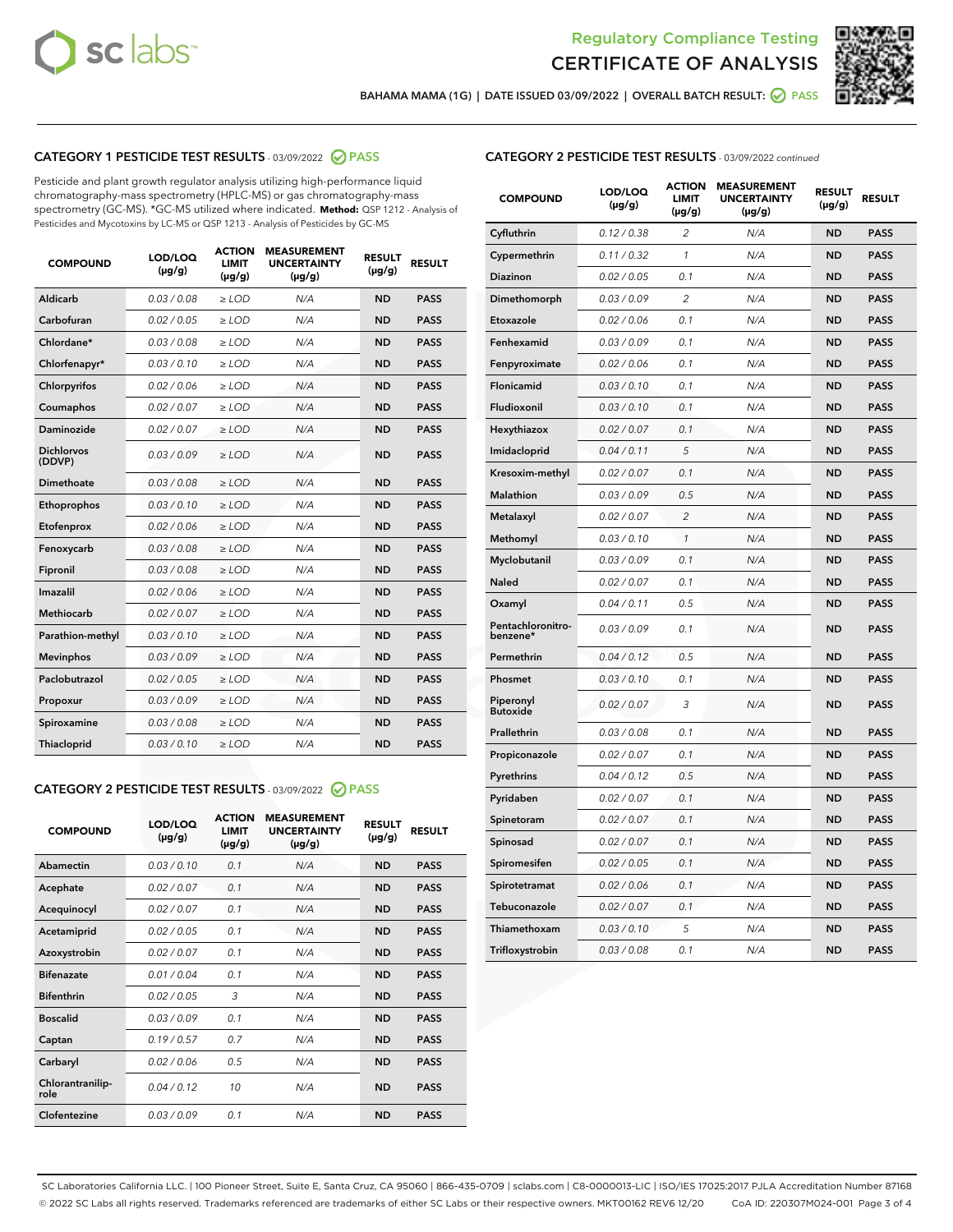



BAHAMA MAMA (1G) | DATE ISSUED 03/09/2022 | OVERALL BATCH RESULT: 2 PASS

#### CATEGORY 1 PESTICIDE TEST RESULTS - 03/09/2022 2 PASS

Pesticide and plant growth regulator analysis utilizing high-performance liquid chromatography-mass spectrometry (HPLC-MS) or gas chromatography-mass spectrometry (GC-MS). \*GC-MS utilized where indicated. **Method:** QSP 1212 - Analysis of Pesticides and Mycotoxins by LC-MS or QSP 1213 - Analysis of Pesticides by GC-MS

| 0.03 / 0.08<br>Aldicarb<br>$\ge$ LOD<br>N/A<br><b>ND</b><br>Carbofuran<br>0.02/0.05<br>$>$ LOD<br>N/A<br><b>ND</b> | <b>PASS</b><br><b>PASS</b> |
|--------------------------------------------------------------------------------------------------------------------|----------------------------|
|                                                                                                                    |                            |
|                                                                                                                    |                            |
| Chlordane*<br>0.03 / 0.08<br>N/A<br><b>ND</b><br>$\ge$ LOD                                                         | <b>PASS</b>                |
| 0.03/0.10<br><b>ND</b><br>Chlorfenapyr*<br>$\ge$ LOD<br>N/A                                                        | <b>PASS</b>                |
| 0.02/0.06<br>N/A<br><b>ND</b><br>Chlorpyrifos<br>$\ge$ LOD                                                         | <b>PASS</b>                |
| Coumaphos<br>0.02 / 0.07<br>$\geq$ LOD<br>N/A<br><b>ND</b>                                                         | <b>PASS</b>                |
| Daminozide<br>0.02 / 0.07<br>$>$ LOD<br>N/A<br><b>ND</b>                                                           | <b>PASS</b>                |
| <b>Dichlorvos</b><br>0.03 / 0.09<br>N/A<br>$\ge$ LOD<br><b>ND</b><br>(DDVP)                                        | <b>PASS</b>                |
| Dimethoate<br>0.03/0.08<br>N/A<br><b>ND</b><br>$>$ LOD                                                             | <b>PASS</b>                |
| 0.03/0.10<br><b>ND</b><br>Ethoprophos<br>$>$ LOD<br>N/A                                                            | <b>PASS</b>                |
| 0.02 / 0.06<br>N/A<br><b>ND</b><br>Etofenprox<br>$\ge$ LOD                                                         | <b>PASS</b>                |
| 0.03 / 0.08<br>N/A<br><b>ND</b><br>Fenoxycarb<br>$\ge$ LOD                                                         | <b>PASS</b>                |
| 0.03 / 0.08<br>$\ge$ LOD<br>N/A<br><b>ND</b><br>Fipronil                                                           | <b>PASS</b>                |
| Imazalil<br>0.02 / 0.06<br>$>$ LOD<br>N/A<br><b>ND</b>                                                             | <b>PASS</b>                |
| <b>Methiocarb</b><br>0.02 / 0.07<br>$\ge$ LOD<br>N/A<br><b>ND</b>                                                  | <b>PASS</b>                |
| N/A<br><b>ND</b><br>Parathion-methyl<br>0.03/0.10<br>$\ge$ LOD                                                     | <b>PASS</b>                |
| 0.03/0.09<br>$\ge$ LOD<br>N/A<br><b>ND</b><br><b>Mevinphos</b>                                                     | <b>PASS</b>                |
| Paclobutrazol<br>0.02 / 0.05<br>$\ge$ LOD<br>N/A<br><b>ND</b>                                                      | <b>PASS</b>                |
| 0.03/0.09<br>$>$ LOD<br>N/A<br><b>ND</b><br>Propoxur                                                               | <b>PASS</b>                |
| 0.03 / 0.08<br>N/A<br><b>ND</b><br>Spiroxamine<br>$\ge$ LOD                                                        | <b>PASS</b>                |
| <b>ND</b><br>Thiacloprid<br>0.03/0.10<br>$>$ LOD<br>N/A                                                            | <b>PASS</b>                |

#### CATEGORY 2 PESTICIDE TEST RESULTS - 03/09/2022 @ PASS

| <b>COMPOUND</b>          | LOD/LOQ<br>$(\mu g/g)$ | <b>ACTION</b><br><b>LIMIT</b><br>$(\mu g/g)$ | <b>MEASUREMENT</b><br><b>UNCERTAINTY</b><br>$(\mu g/g)$ | <b>RESULT</b><br>$(\mu g/g)$ | <b>RESULT</b> |
|--------------------------|------------------------|----------------------------------------------|---------------------------------------------------------|------------------------------|---------------|
| Abamectin                | 0.03/0.10              | 0.1                                          | N/A                                                     | <b>ND</b>                    | <b>PASS</b>   |
| Acephate                 | 0.02/0.07              | 0.1                                          | N/A                                                     | <b>ND</b>                    | <b>PASS</b>   |
| Acequinocyl              | 0.02/0.07              | 0.1                                          | N/A                                                     | <b>ND</b>                    | <b>PASS</b>   |
| Acetamiprid              | 0.02/0.05              | 0.1                                          | N/A                                                     | <b>ND</b>                    | <b>PASS</b>   |
| Azoxystrobin             | 0.02 / 0.07            | 0.1                                          | N/A                                                     | <b>ND</b>                    | <b>PASS</b>   |
| <b>Bifenazate</b>        | 0.01/0.04              | 0.1                                          | N/A                                                     | <b>ND</b>                    | <b>PASS</b>   |
| <b>Bifenthrin</b>        | 0.02 / 0.05            | 3                                            | N/A                                                     | <b>ND</b>                    | <b>PASS</b>   |
| <b>Boscalid</b>          | 0.03/0.09              | 0.1                                          | N/A                                                     | <b>ND</b>                    | <b>PASS</b>   |
| Captan                   | 0.19/0.57              | 0.7                                          | N/A                                                     | <b>ND</b>                    | <b>PASS</b>   |
| Carbaryl                 | 0.02/0.06              | 0.5                                          | N/A                                                     | <b>ND</b>                    | <b>PASS</b>   |
| Chlorantranilip-<br>role | 0.04/0.12              | 10                                           | N/A                                                     | <b>ND</b>                    | <b>PASS</b>   |
| Clofentezine             | 0.03/0.09              | 0.1                                          | N/A                                                     | <b>ND</b>                    | <b>PASS</b>   |

#### CATEGORY 2 PESTICIDE TEST RESULTS - 03/09/2022 continued

| <b>COMPOUND</b>               | LOD/LOQ<br>(µg/g) | <b>ACTION</b><br><b>LIMIT</b><br>(µg/g) | <b>MEASUREMENT</b><br><b>UNCERTAINTY</b><br>(µg/g) | <b>RESULT</b><br>$(\mu g/g)$ | <b>RESULT</b> |
|-------------------------------|-------------------|-----------------------------------------|----------------------------------------------------|------------------------------|---------------|
| Cyfluthrin                    | 0.12 / 0.38       | $\overline{c}$                          | N/A                                                | <b>ND</b>                    | <b>PASS</b>   |
| Cypermethrin                  | 0.11 / 0.32       | 1                                       | N/A                                                | <b>ND</b>                    | PASS          |
| <b>Diazinon</b>               | 0.02 / 0.05       | 0.1                                     | N/A                                                | <b>ND</b>                    | <b>PASS</b>   |
| Dimethomorph                  | 0.03 / 0.09       | 2                                       | N/A                                                | <b>ND</b>                    | <b>PASS</b>   |
| Etoxazole                     | 0.02 / 0.06       | 0.1                                     | N/A                                                | <b>ND</b>                    | <b>PASS</b>   |
| Fenhexamid                    | 0.03 / 0.09       | 0.1                                     | N/A                                                | <b>ND</b>                    | <b>PASS</b>   |
| Fenpyroximate                 | 0.02 / 0.06       | 0.1                                     | N/A                                                | <b>ND</b>                    | <b>PASS</b>   |
| Flonicamid                    | 0.03 / 0.10       | 0.1                                     | N/A                                                | <b>ND</b>                    | <b>PASS</b>   |
| Fludioxonil                   | 0.03 / 0.10       | 0.1                                     | N/A                                                | <b>ND</b>                    | <b>PASS</b>   |
| Hexythiazox                   | 0.02 / 0.07       | 0.1                                     | N/A                                                | <b>ND</b>                    | <b>PASS</b>   |
| Imidacloprid                  | 0.04 / 0.11       | 5                                       | N/A                                                | <b>ND</b>                    | <b>PASS</b>   |
| Kresoxim-methyl               | 0.02 / 0.07       | 0.1                                     | N/A                                                | <b>ND</b>                    | <b>PASS</b>   |
| <b>Malathion</b>              | 0.03 / 0.09       | 0.5                                     | N/A                                                | <b>ND</b>                    | <b>PASS</b>   |
| Metalaxyl                     | 0.02 / 0.07       | $\overline{c}$                          | N/A                                                | <b>ND</b>                    | <b>PASS</b>   |
| Methomyl                      | 0.03 / 0.10       | 1                                       | N/A                                                | <b>ND</b>                    | <b>PASS</b>   |
| Myclobutanil                  | 0.03/0.09         | 0.1                                     | N/A                                                | <b>ND</b>                    | <b>PASS</b>   |
| Naled                         | 0.02 / 0.07       | 0.1                                     | N/A                                                | <b>ND</b>                    | <b>PASS</b>   |
| Oxamyl                        | 0.04 / 0.11       | 0.5                                     | N/A                                                | <b>ND</b>                    | <b>PASS</b>   |
| Pentachloronitro-<br>benzene* | 0.03 / 0.09       | 0.1                                     | N/A                                                | <b>ND</b>                    | <b>PASS</b>   |
| Permethrin                    | 0.04 / 0.12       | 0.5                                     | N/A                                                | <b>ND</b>                    | <b>PASS</b>   |
| Phosmet                       | 0.03 / 0.10       | 0.1                                     | N/A                                                | <b>ND</b>                    | <b>PASS</b>   |
| Piperonyl<br><b>Butoxide</b>  | 0.02 / 0.07       | 3                                       | N/A                                                | <b>ND</b>                    | <b>PASS</b>   |
| Prallethrin                   | 0.03 / 0.08       | 0.1                                     | N/A                                                | <b>ND</b>                    | <b>PASS</b>   |
| Propiconazole                 | 0.02 / 0.07       | 0.1                                     | N/A                                                | <b>ND</b>                    | <b>PASS</b>   |
| Pyrethrins                    | 0.04 / 0.12       | 0.5                                     | N/A                                                | <b>ND</b>                    | <b>PASS</b>   |
| Pyridaben                     | 0.02 / 0.07       | 0.1                                     | N/A                                                | <b>ND</b>                    | <b>PASS</b>   |
| Spinetoram                    | 0.02 / 0.07       | 0.1                                     | N/A                                                | <b>ND</b>                    | <b>PASS</b>   |
| Spinosad                      | 0.02 / 0.07       | 0.1                                     | N/A                                                | <b>ND</b>                    | <b>PASS</b>   |
| Spiromesifen                  | 0.02 / 0.05       | 0.1                                     | N/A                                                | <b>ND</b>                    | <b>PASS</b>   |
| Spirotetramat                 | 0.02 / 0.06       | 0.1                                     | N/A                                                | <b>ND</b>                    | <b>PASS</b>   |
| Tebuconazole                  | 0.02 / 0.07       | 0.1                                     | N/A                                                | <b>ND</b>                    | <b>PASS</b>   |
| Thiamethoxam                  | 0.03 / 0.10       | 5                                       | N/A                                                | <b>ND</b>                    | <b>PASS</b>   |
| Trifloxystrobin               | 0.03 / 0.08       | 0.1                                     | N/A                                                | <b>ND</b>                    | <b>PASS</b>   |

SC Laboratories California LLC. | 100 Pioneer Street, Suite E, Santa Cruz, CA 95060 | 866-435-0709 | sclabs.com | C8-0000013-LIC | ISO/IES 17025:2017 PJLA Accreditation Number 87168 © 2022 SC Labs all rights reserved. Trademarks referenced are trademarks of either SC Labs or their respective owners. MKT00162 REV6 12/20 CoA ID: 220307M024-001 Page 3 of 4